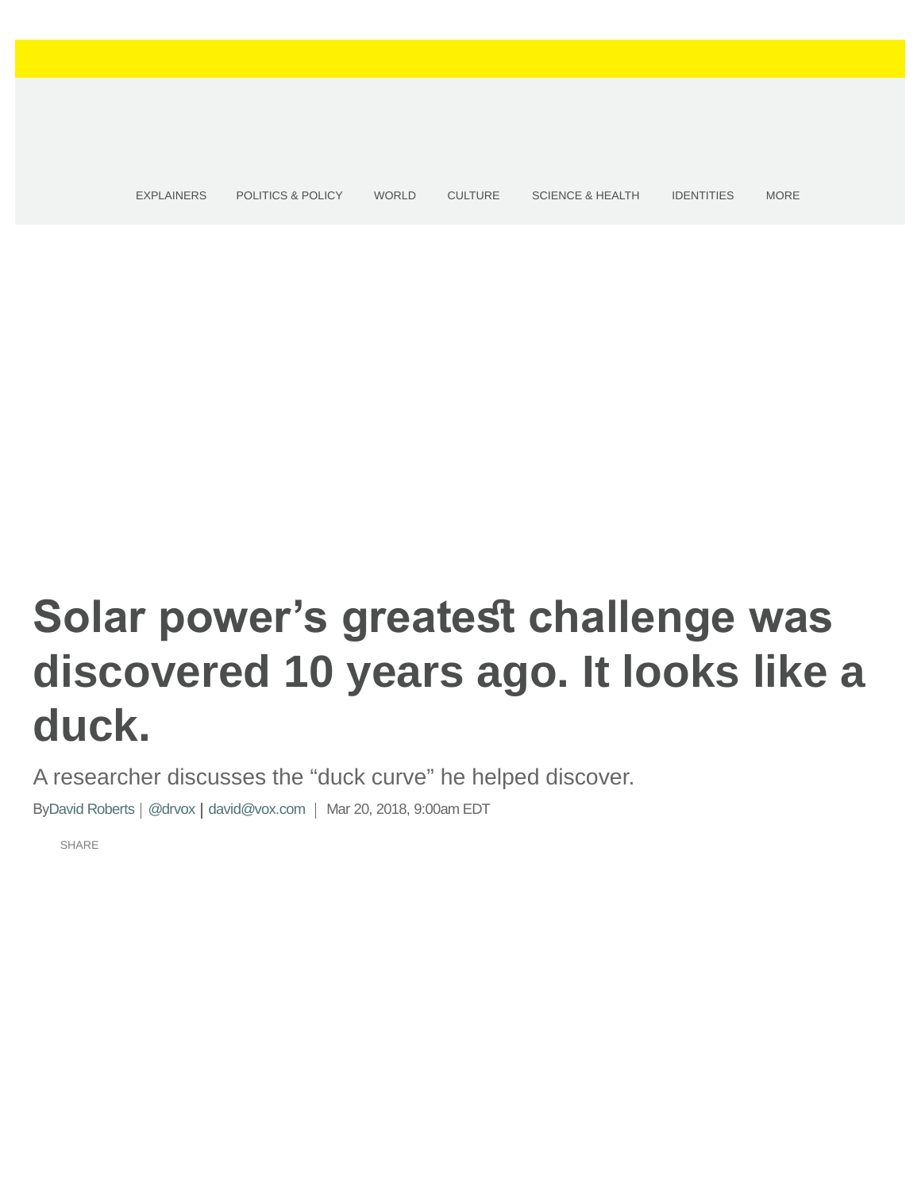<span id="page-0-0"></span>[EXPLAINERS](https://www.vox.com/explainers) [POLITICS & POLICY](https://www.vox.com/policy-and-politics) [WORLD](https://www.vox.com/world) [CULTURE](https://www.vox.com/culture) [SCIENCE & HEALTH](https://www.vox.com/science-and-health) [IDENTITIES](https://www.vox.com/identities) MORE

# **Solar power's greatest challenge was discovered 10 years ago. It looks like a duck.**

A researcher discusses the "duck curve" he helped discover.

By[David Roberts](https://www.vox.com/authors/david-roberts) | [@drvox](https://www.twitter.com/drvox) | [david@vox.com](mailto:david@vox.com) | Mar 20, 2018, 9:00am EDT

[SHARE](#page-0-0)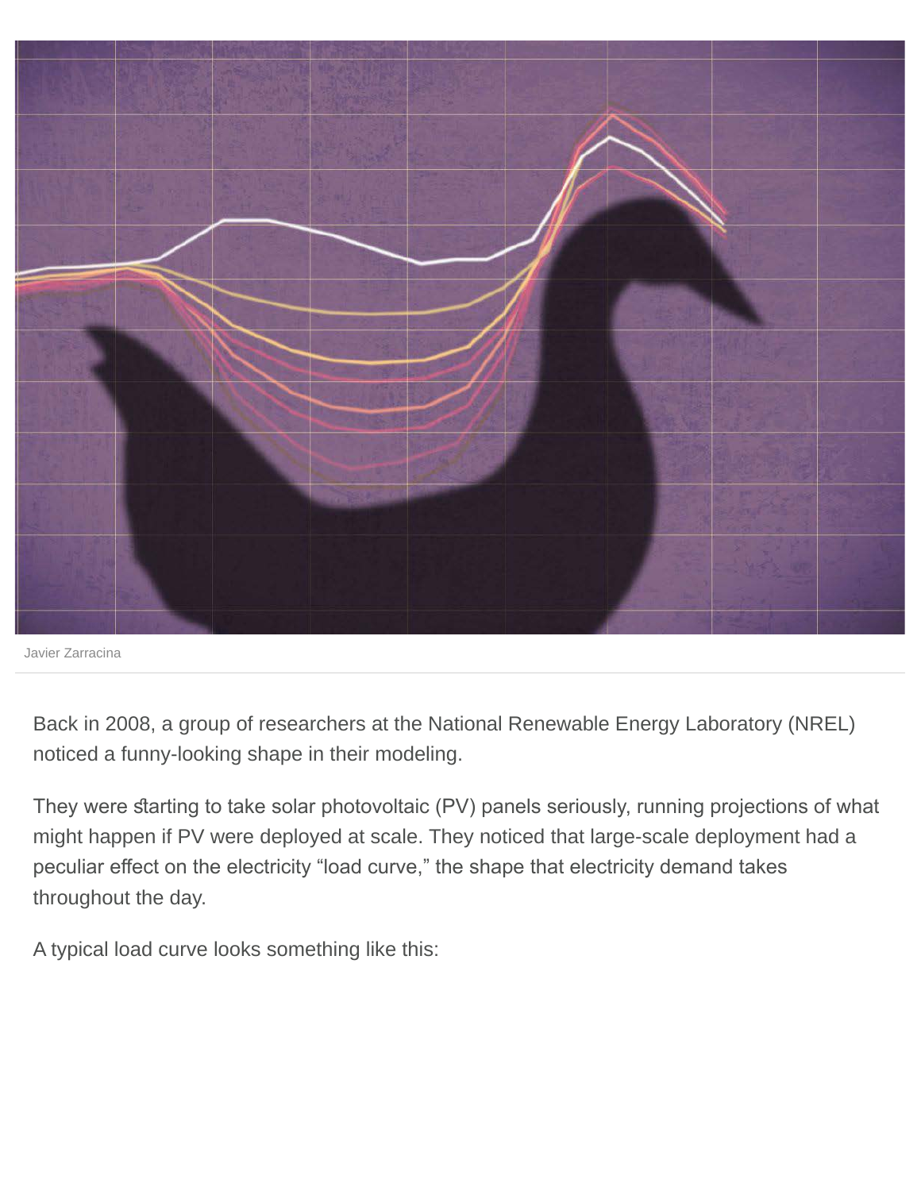

Javier Zarracina

Back in 2008, a group of researchers at the National Renewable Energy Laboratory (NREL) noticed a funny-looking shape in their modeling.

They were starting to take solar photovoltaic (PV) panels seriously, running projections of what might happen if PV were deployed at scale. They noticed that large-scale deployment had a peculiar efect on the electricity "load curve," the shape that electricity demand takes throughout the day.

A typical load curve looks something like this: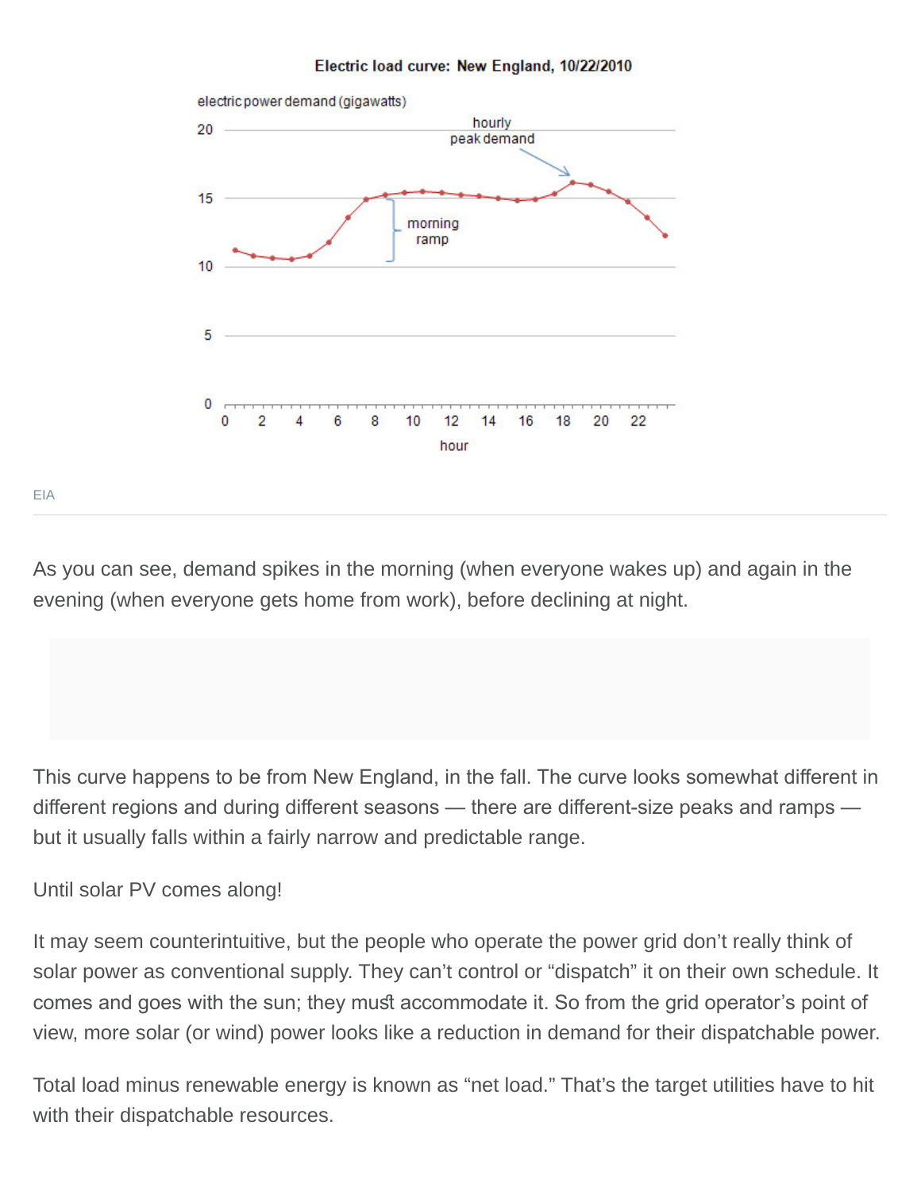



[EIA](http://www.eia.gov/todayinenergy/detail.cfm?id=830)

As you can see, demand spikes in the morning (when everyone wakes up) and again in the evening (when everyone gets home from work), before declining at night.

This curve happens to be from New England, in the fall. The curve looks somewhat diferent in diferent regions and during diferent seasons — there are diferent-size peaks and ramps but it usually falls within a fairly narrow and predictable range.

Until solar PV comes along!

It may seem counterintuitive, but the people who operate the power grid don't really think of solar power as conventional supply. They can't control or "dispatch" it on their own schedule. It comes and goes with the sun; they must accommodate it. So from the grid operator's point of view, more solar (or wind) power looks like a reduction in demand for their dispatchable power.

Total load minus renewable energy is known as "net load." That's the target utilities have to hit with their dispatchable resources.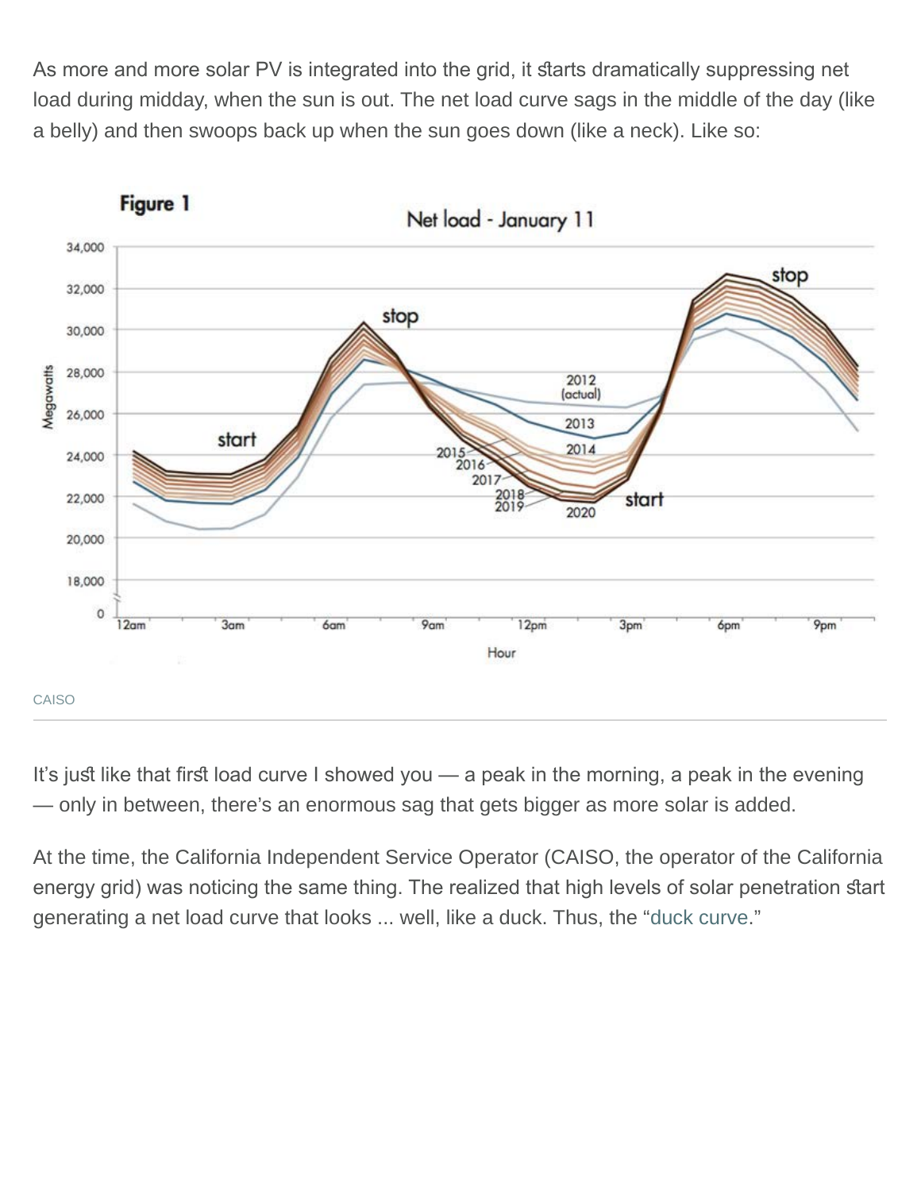As more and more solar PV is integrated into the grid, it starts dramatically suppressing net load during midday, when the sun is out. The net load curve sags in the middle of the day (like a belly) and then swoops back up when the sun goes down (like a neck). Like so:

**Figure 1** 



Net load - January 11

It's just like that first load curve I showed you — a peak in the morning, a peak in the evening — only in between, there's an enormous sag that gets bigger as more solar is added.

At the time, the California Independent Service Operator (CAISO, the operator of the California energy grid) was noticing the same thing. The realized that high levels of solar penetration start generating a net load curve that looks ... well, like a duck. Thus, the ["duck curve](http://www.vox.com/2016/2/10/10960848/solar-energy-duck-curve)."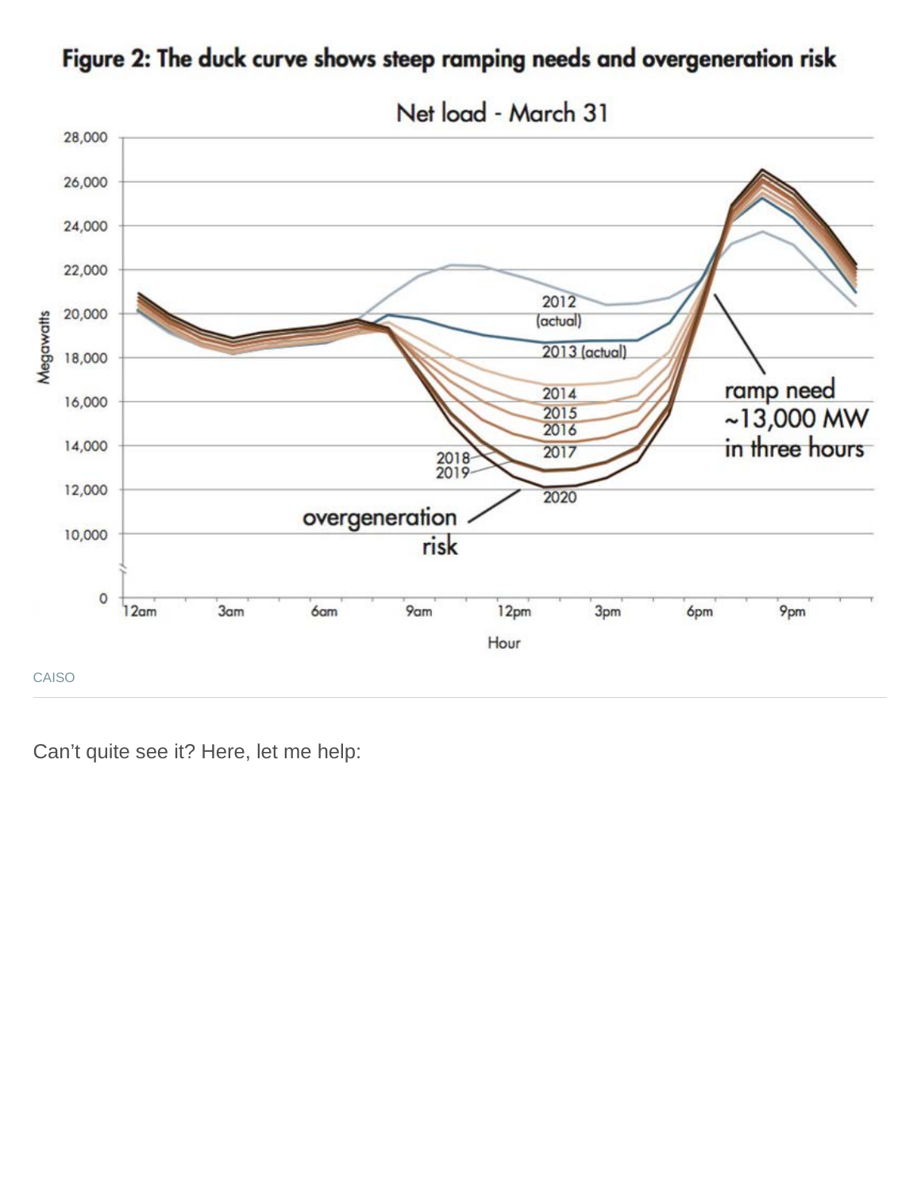

Figure 2: The duck curve shows steep ramping needs and overgeneration risk

Can't quite see it? Here, let me help: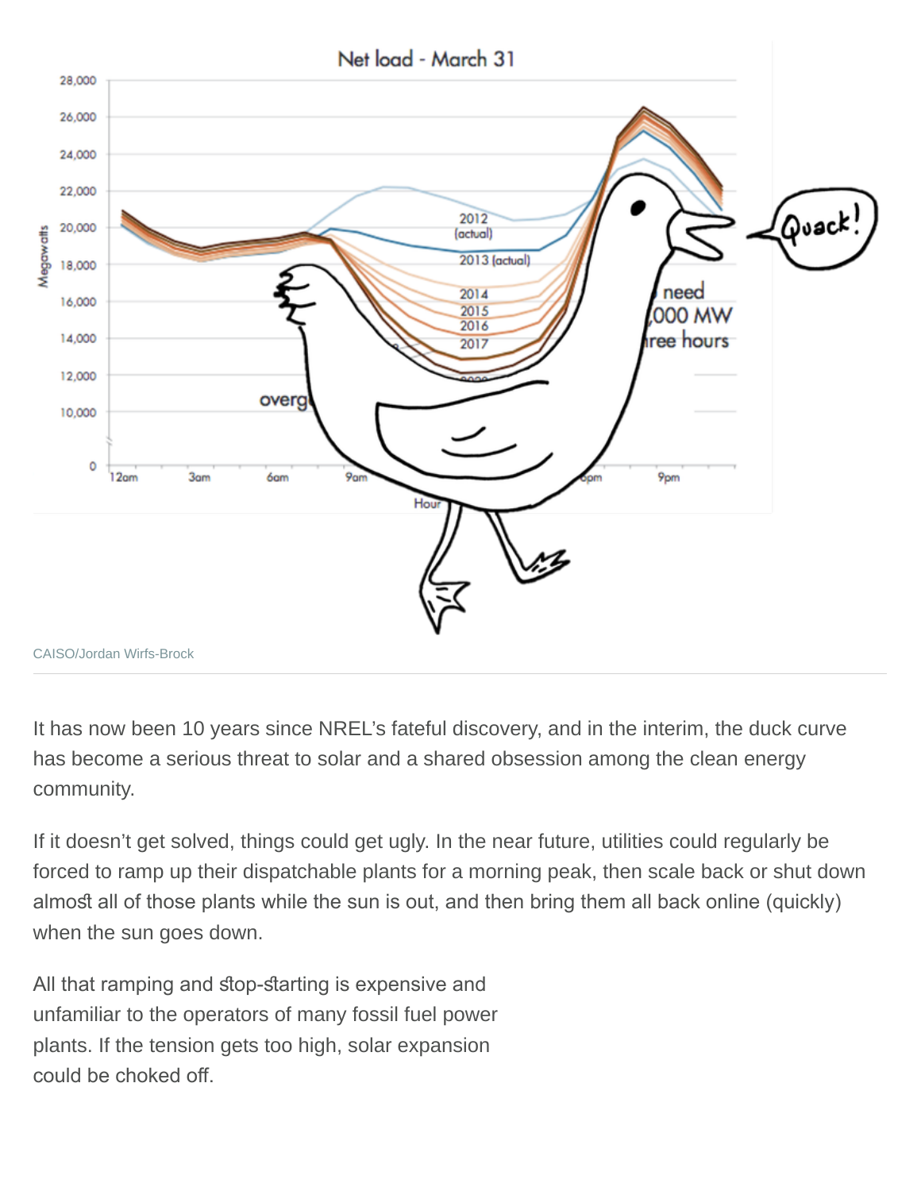

It has now been 10 years since NREL's fateful discovery, and in the interim, the duck curve has become a serious threat to solar and a shared obsession among the clean energy community.

If it doesn't get solved, things could get ugly. In the near future, utilities could regularly be forced to ramp up their dispatchable plants for a morning peak, then scale back or shut down almost all of those plants while the sun is out, and then bring them all back online (quickly) when the sun goes down.

All that ramping and stop-starting is expensive and unfamiliar to the operators of many fossil fuel power plants. If the tension gets too high, solar expansion could be choked of.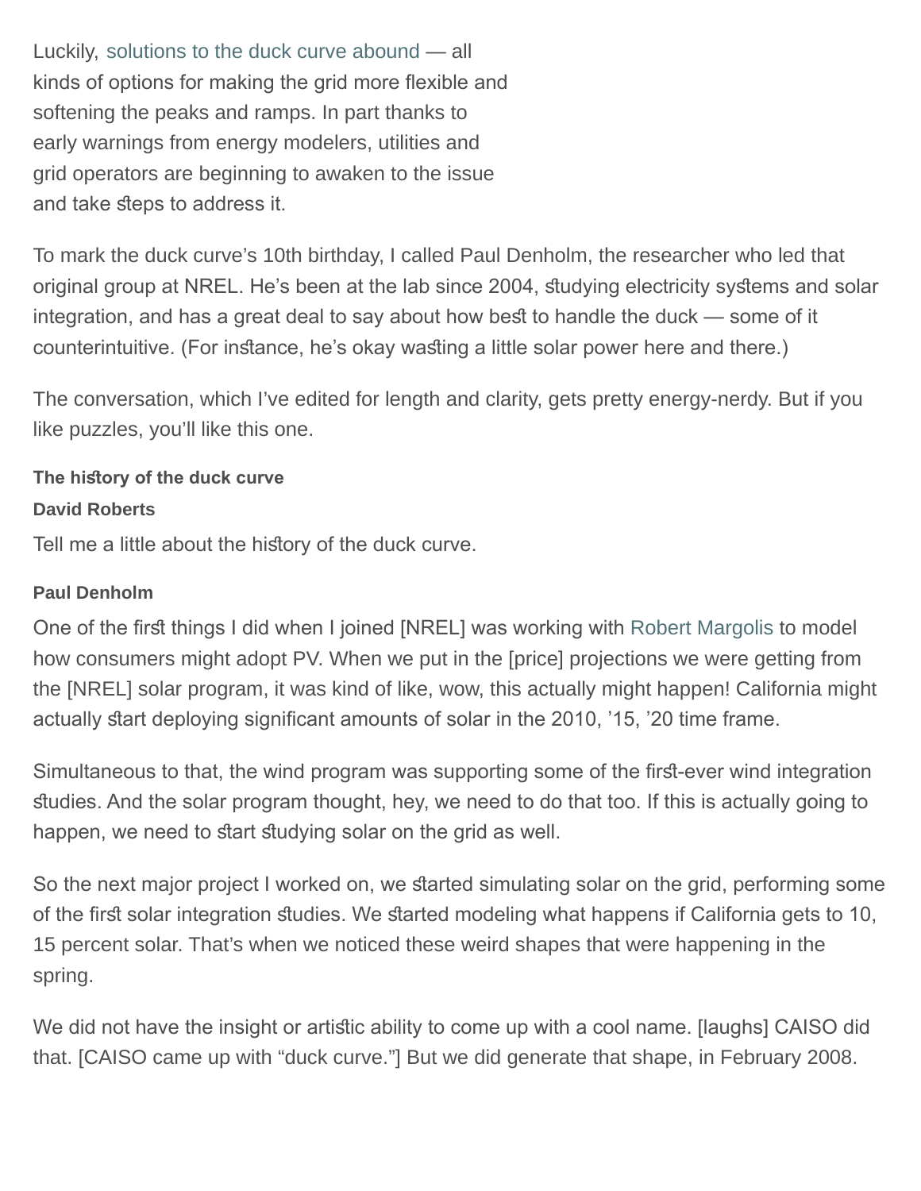Luckily, [solutions to the duck curve abound](https://www.vox.com/2016/2/12/10970858/flattening-duck-curve-renewable-energy) — all kinds of options for making the grid more fexible and softening the peaks and ramps. In part thanks to early warnings from energy modelers, utilities and grid operators are beginning to awaken to the issue and take steps to address it.

To mark the duck curve's 10th birthday, I called Paul Denholm, the researcher who led that original group at NREL. He's been at the lab since 2004, studying electricity systems and solar integration, and has a great deal to say about how best to handle the duck — some of it counterintuitive. (For instance, he's okay wasting a little solar power here and there.)

The conversation, which I've edited for length and clarity, gets pretty energy-nerdy. But if you like puzzles, you'll like this one.

# **The history of the duck curve David Roberts**

Tell me a little about the history of the duck curve.

# **Paul Denholm**

One of the first things I did when I joined [NREL] was working with [Robert Margolis](https://www.nrel.gov/research/robert-margolis.html) to model how consumers might adopt PV. When we put in the [price] projections we were getting from the [NREL] solar program, it was kind of like, wow, this actually might happen! California might actually start deploying significant amounts of solar in the 2010, '15, '20 time frame.

Simultaneous to that, the wind program was supporting some of the first-ever wind integration studies. And the solar program thought, hey, we need to do that too. If this is actually going to happen, we need to start studying solar on the grid as well.

So the next major project I worked on, we started simulating solar on the grid, performing some of the first solar integration studies. We started modeling what happens if California gets to 10, 15 percent solar. That's when we noticed these weird shapes that were happening in the spring.

We did not have the insight or artistic ability to come up with a cool name. [laughs] CAISO did that. [CAISO came up with "duck curve."] But we did generate that shape, in February 2008.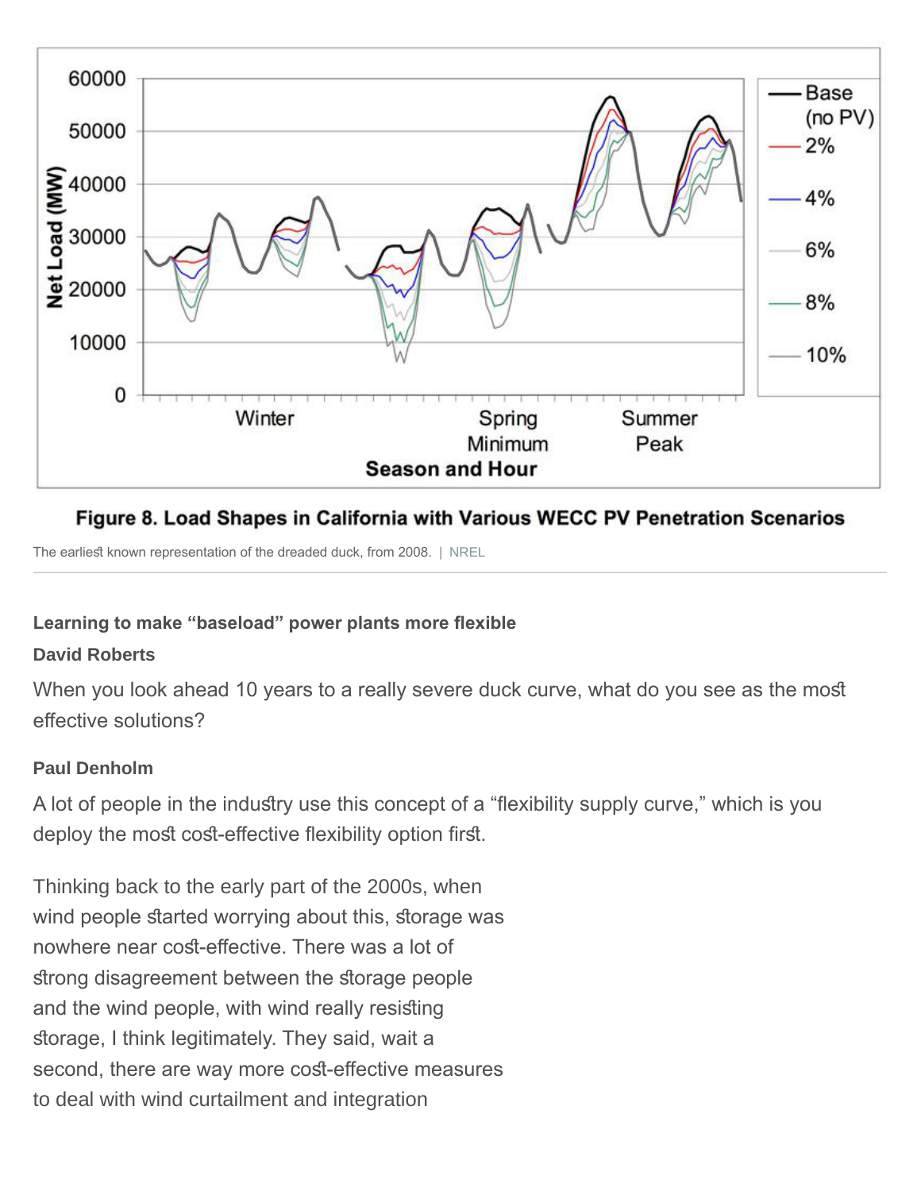

# Figure 8. Load Shapes in California with Various WECC PV Penetration Scenarios

The earliest known representation of the dreaded duck, from 2008. | [NREL](https://www.nrel.gov/docs/fy08osti/42305.pdf)

#### **Learning to make "baseload" power plants more fexible**

#### **David Roberts**

When you look ahead 10 years to a really severe duck curve, what do you see as the most effective solutions?

#### **Paul Denholm**

A lot of people in the industry use this concept of a "flexibility supply curve," which is you deploy the most cost-effective flexibility option first.

Thinking back to the early part of the 2000s, when wind people started worrying about this, storage was nowhere near cost-effective. There was a lot of strong disagreement between the storage people and the wind people, with wind really resisting storage, I think legitimately. They said, wait a second, there are way more cost-effective measures to deal with wind curtailment and integration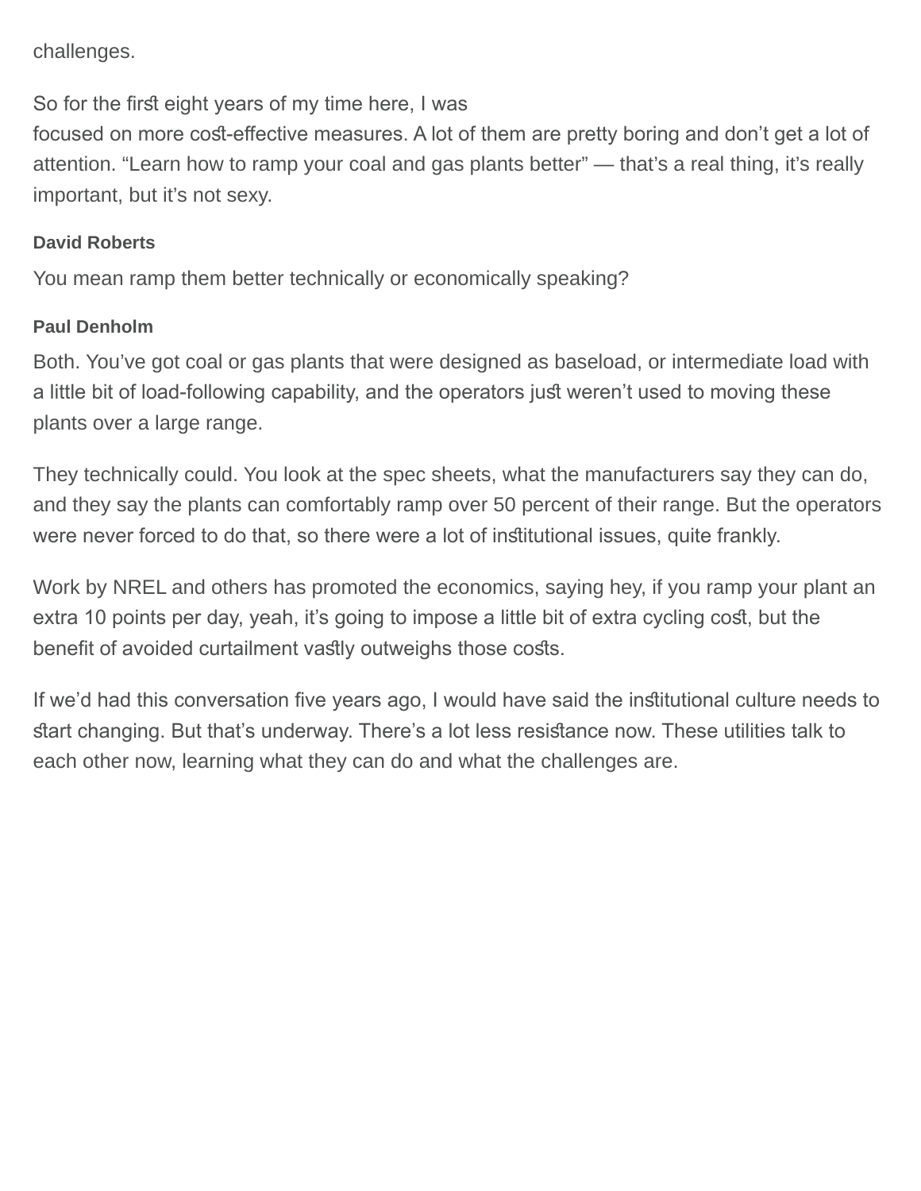challenges.

So for the first eight years of my time here, I was

focused on more cost-effective measures. A lot of them are pretty boring and don't get a lot of attention. "Learn how to ramp your coal and gas plants better" — that's a real thing, it's really important, but it's not sexy.

#### **David Roberts**

You mean ramp them better technically or economically speaking?

#### **Paul Denholm**

Both. You've got coal or gas plants that were designed as baseload, or intermediate load with a little bit of load-following capability, and the operators just weren't used to moving these plants over a large range.

They technically could. You look at the spec sheets, what the manufacturers say they can do, and they say the plants can comfortably ramp over 50 percent of their range. But the operators were never forced to do that, so there were a lot of insitutional issues, quite frankly.

Work by NREL and others has promoted the economics, saying hey, if you ramp your plant an extra 10 points per day, yeah, it's going to impose a little bit of extra cycling cost, but the benefit of avoided curtailment vastly outweighs those costs.

If we'd had this conversation five years ago, I would have said the institutional culture needs to start changing. But that's underway. There's a lot less resistance now. These utilities talk to each other now, learning what they can do and what the challenges are.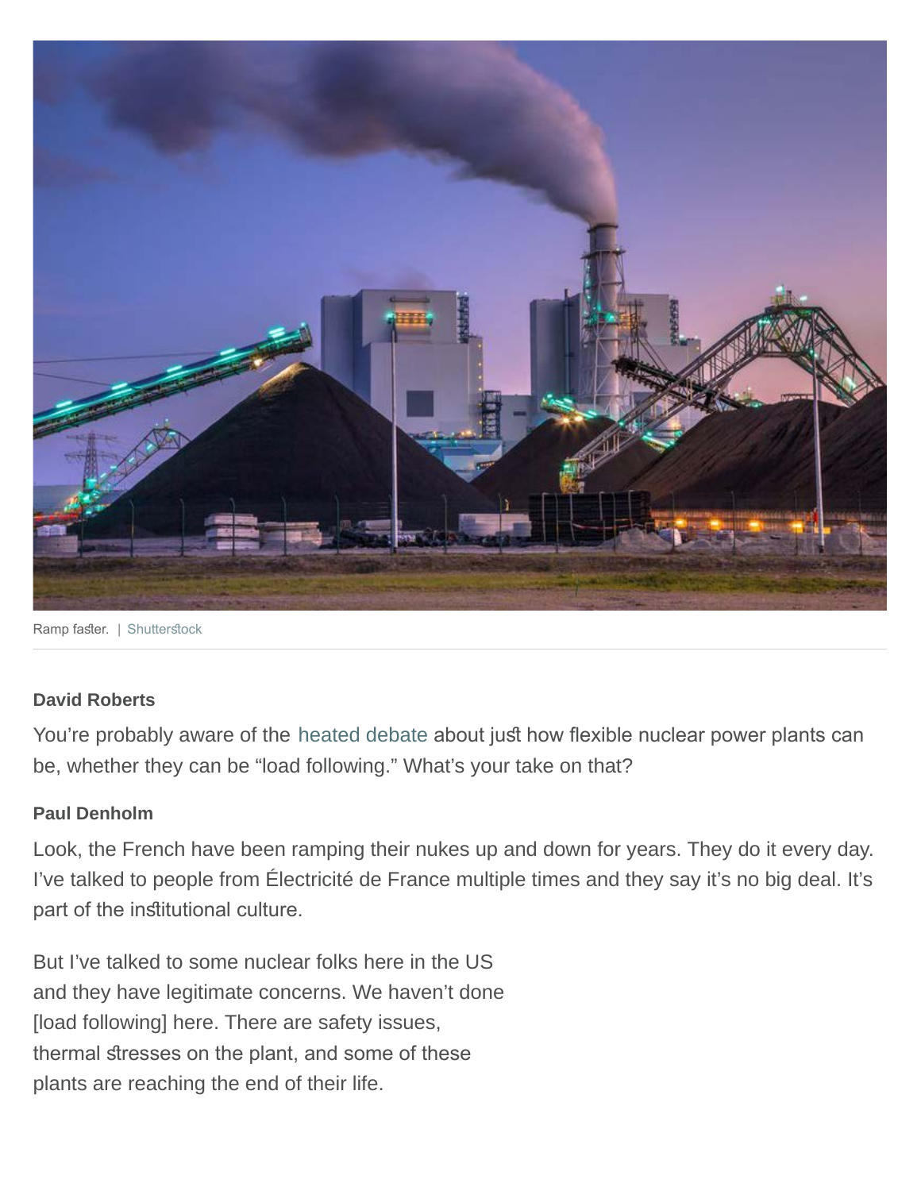

Ramp faster. | Shutterstock

#### **David Roberts**

You're probably aware of the [heated](http://publications.iass-potsdam.de/pubman/item/escidoc:2949898:4/component/escidoc:2949901/IASS_Discussion_Paper_2949898.pdf) [debate](https://threadreaderapp.com/thread/970743829430185985.html?refreshed=yes) about just how flexible nuclear power plants can be, whether they can be "load following." What's your take on that?

#### **Paul Denholm**

Look, the French have been ramping their nukes up and down for years. They do it every day. I've talked to people from Électricité de France multiple times and they say it's no big deal. It's part of the institutional culture.

But I've talked to some nuclear folks here in the US and they have legitimate concerns. We haven't done [load following] here. There are safety issues, thermal stresses on the plant, and some of these plants are reaching the end of their life.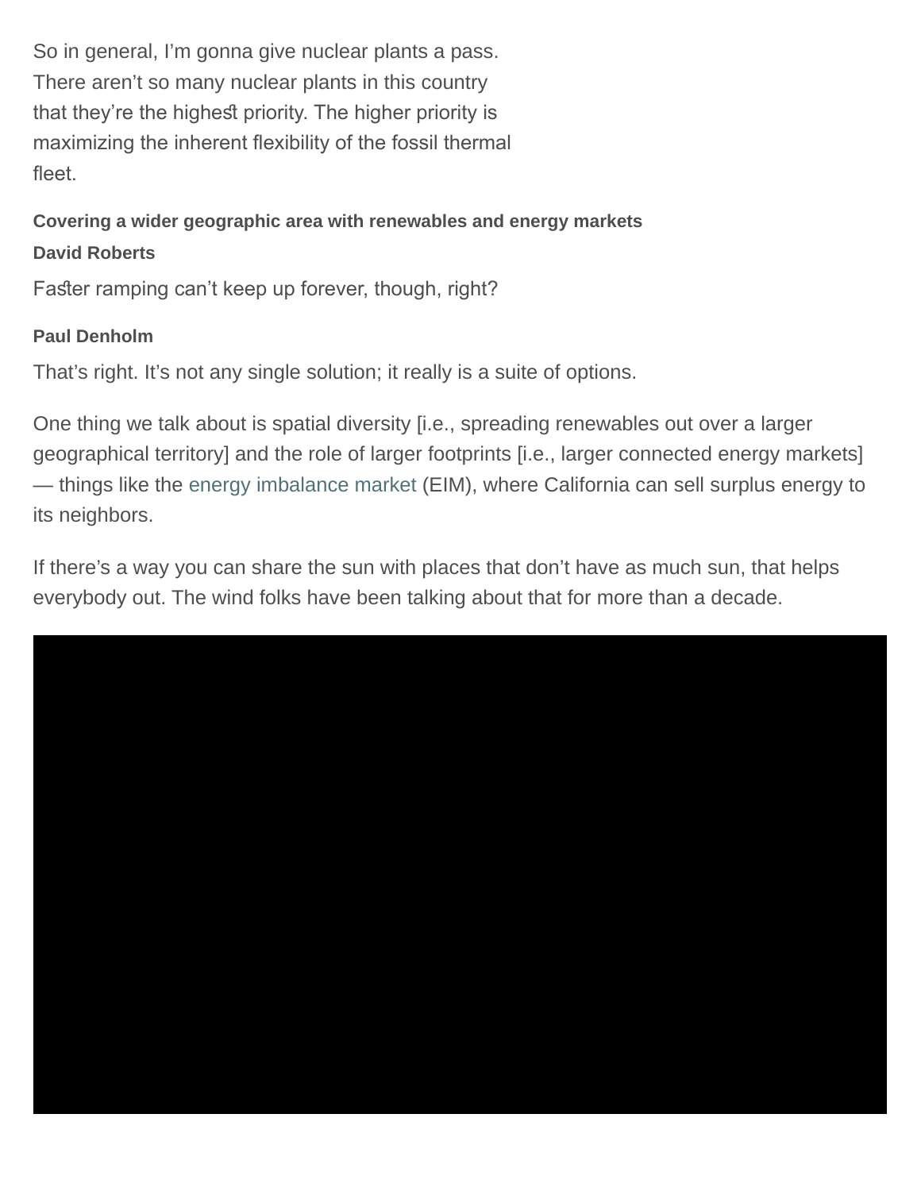So in general, I'm gonna give nuclear plants a pass. There aren't so many nuclear plants in this country that they're the highest priority. The higher priority is maximizing the inherent flexibility of the fossil thermal fleet.

# **Covering a wider geographic area with renewables and energy markets David Roberts**

Faster ramping can't keep up forever, though, right?

# **Paul Denholm**

That's right. It's not any single solution; it really is a suite of options.

One thing we talk about is spatial diversity [i.e., spreading renewables out over a larger geographical territory] and the role of larger footprints [i.e., larger connected energy markets] — things like the [energy imbalance market](http://www.caiso.com/informed/Pages/StakeholderProcesses/ConsolidatedEnergyImbalanceMarketInitiatives.aspx) (EIM), where California can sell surplus energy to its neighbors.

If there's a way you can share the sun with places that don't have as much sun, that helps everybody out. The wind folks have been talking about that for more than a decade.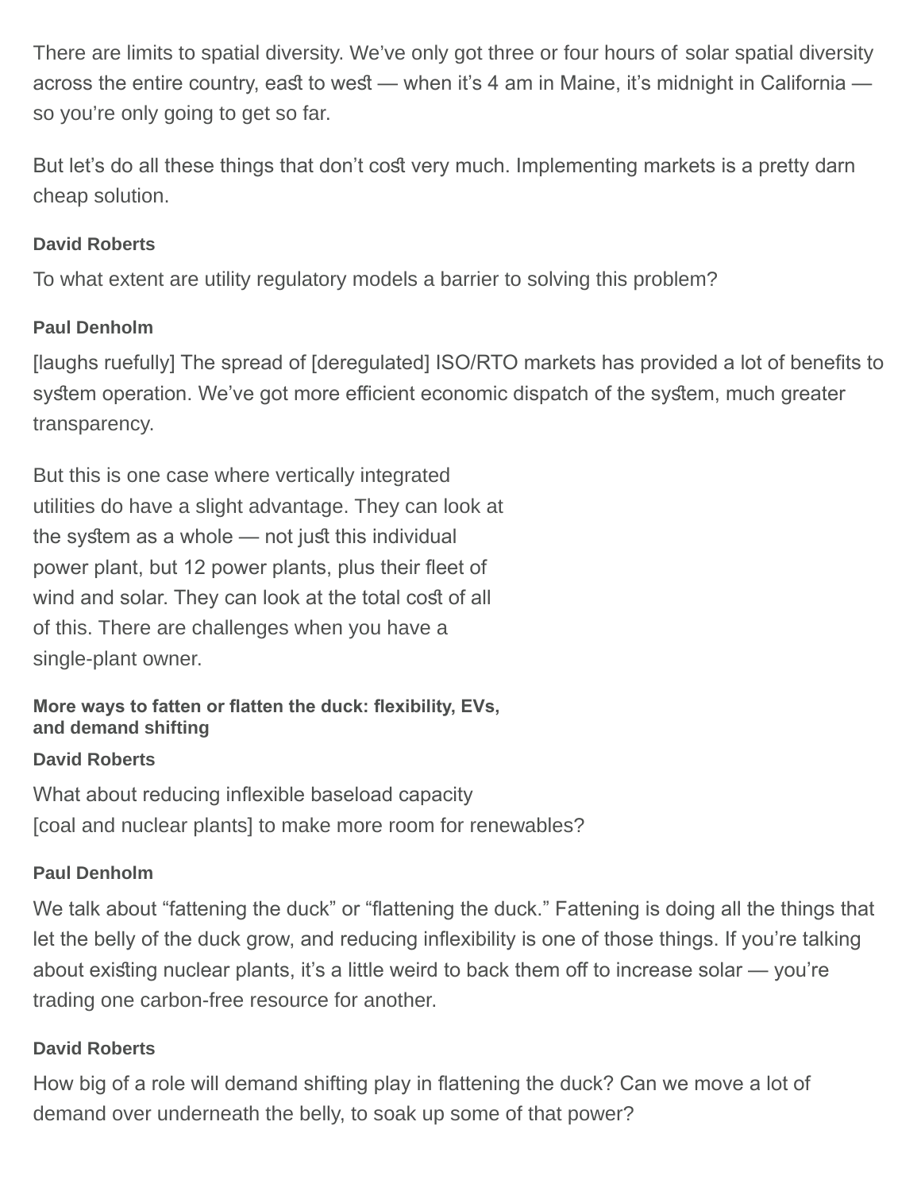There are limits to spatial diversity. We've only got three or four hours of solar spatial diversity across the entire country, east to west — when it's 4 am in Maine, it's midnight in California so you're only going to get so far.

But let's do all these things that don't cost very much. Implementing markets is a pretty darn cheap solution.

## **David Roberts**

To what extent are utility regulatory models a barrier to solving this problem?

## **Paul Denholm**

[laughs ruefully] The spread of [deregulated] ISO/RTO markets has provided a lot of benefts to system operation. We've got more efficient economic dispatch of the system, much greater transparency.

But this is one case where vertically integrated utilities do have a slight advantage. They can look at the system as a whole  $-$  not just this individual power plant, but 12 power plants, plus their fleet of wind and solar. They can look at the total cost of all of this. There are challenges when you have a single-plant owner.

## **More ways to fatten or fatten the duck: fexibility, EVs, and demand shifting**

#### **David Roberts**

What about reducing inflexible baseload capacity [coal and nuclear plants] to make more room for renewables?

# **Paul Denholm**

We talk about "fattening the duck" or "flattening the duck." Fattening is doing all the things that let the belly of the duck grow, and reducing infexibility is one of those things. If you're talking about existing nuclear plants, it's a little weird to back them off to increase solar — you're trading one carbon-free resource for another.

# **David Roberts**

How big of a role will demand shifting play in fattening the duck? Can we move a lot of demand over underneath the belly, to soak up some of that power?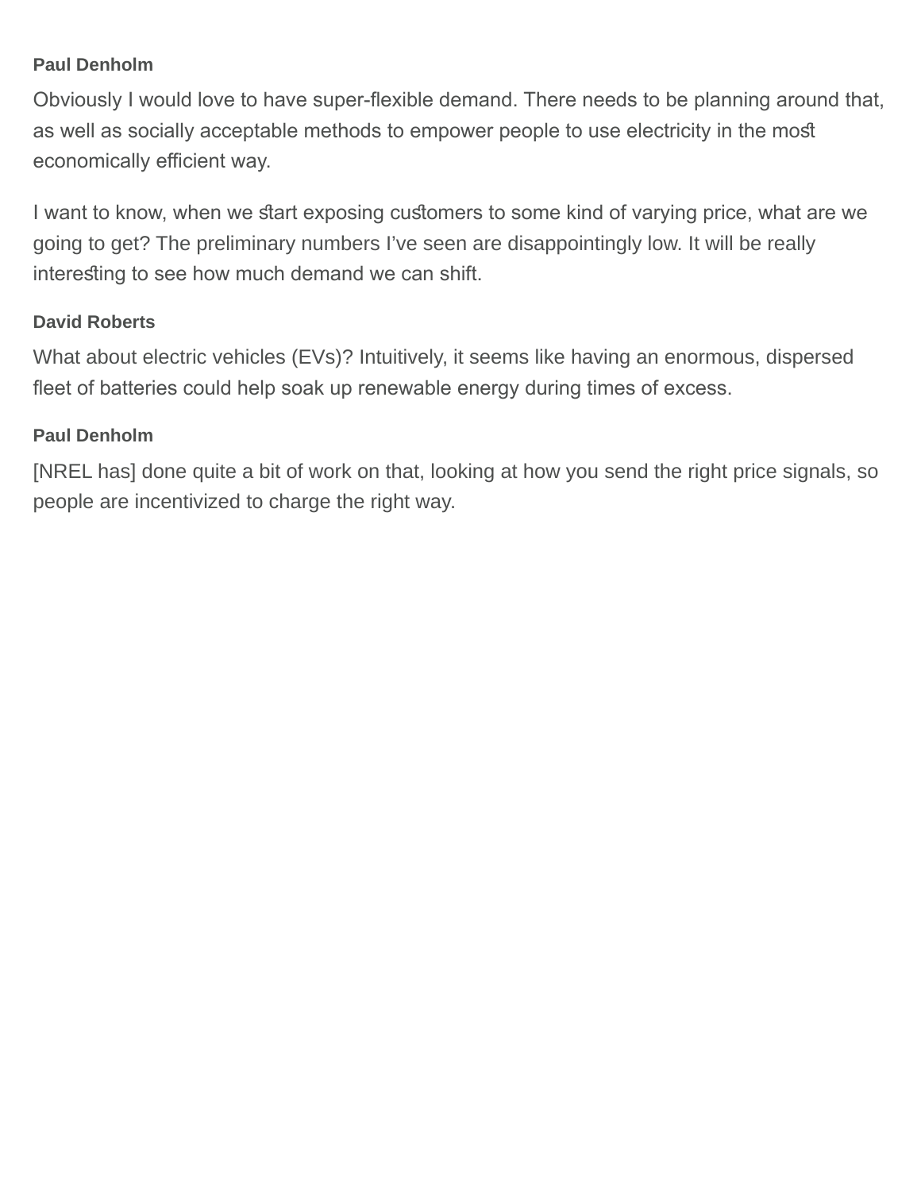#### **Paul Denholm**

Obviously I would love to have super-fexible demand. There needs to be planning around that, as well as socially acceptable methods to empower people to use electricity in the most economically efficient way.

I want to know, when we start exposing customers to some kind of varying price, what are we going to get? The preliminary numbers I've seen are disappointingly low. It will be really interesting to see how much demand we can shift.

#### **David Roberts**

What about electric vehicles (EVs)? Intuitively, it seems like having an enormous, dispersed feet of batteries could help soak up renewable energy during times of excess.

#### **Paul Denholm**

[NREL has] done quite a bit of work on that, looking at how you send the right price signals, so people are incentivized to charge the right way.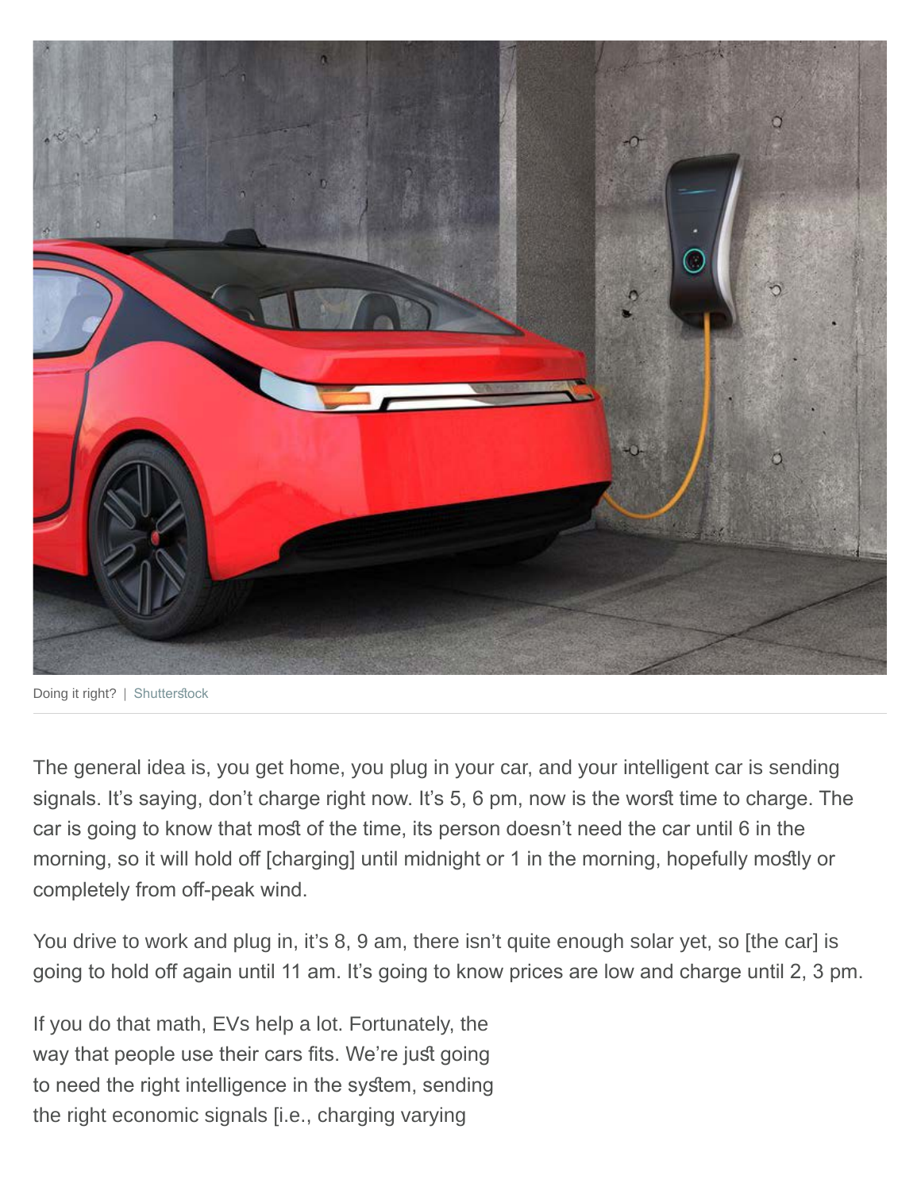

Doing it right? | Shutterstock

The general idea is, you get home, you plug in your car, and your intelligent car is sending signals. It's saying, don't charge right now. It's 5, 6 pm, now is the worst time to charge. The car is going to know that most of the time, its person doesn't need the car until 6 in the morning, so it will hold off [charging] until midnight or 1 in the morning, hopefully mostly or completely from off-peak wind.

You drive to work and plug in, it's 8, 9 am, there isn't quite enough solar yet, so [the car] is going to hold off again until 11 am. It's going to know prices are low and charge until 2, 3 pm.

If you do that math, EVs help a lot. Fortunately, the way that people use their cars fits. We're just going to need the right intelligence in the system, sending the right economic signals [i.e., charging varying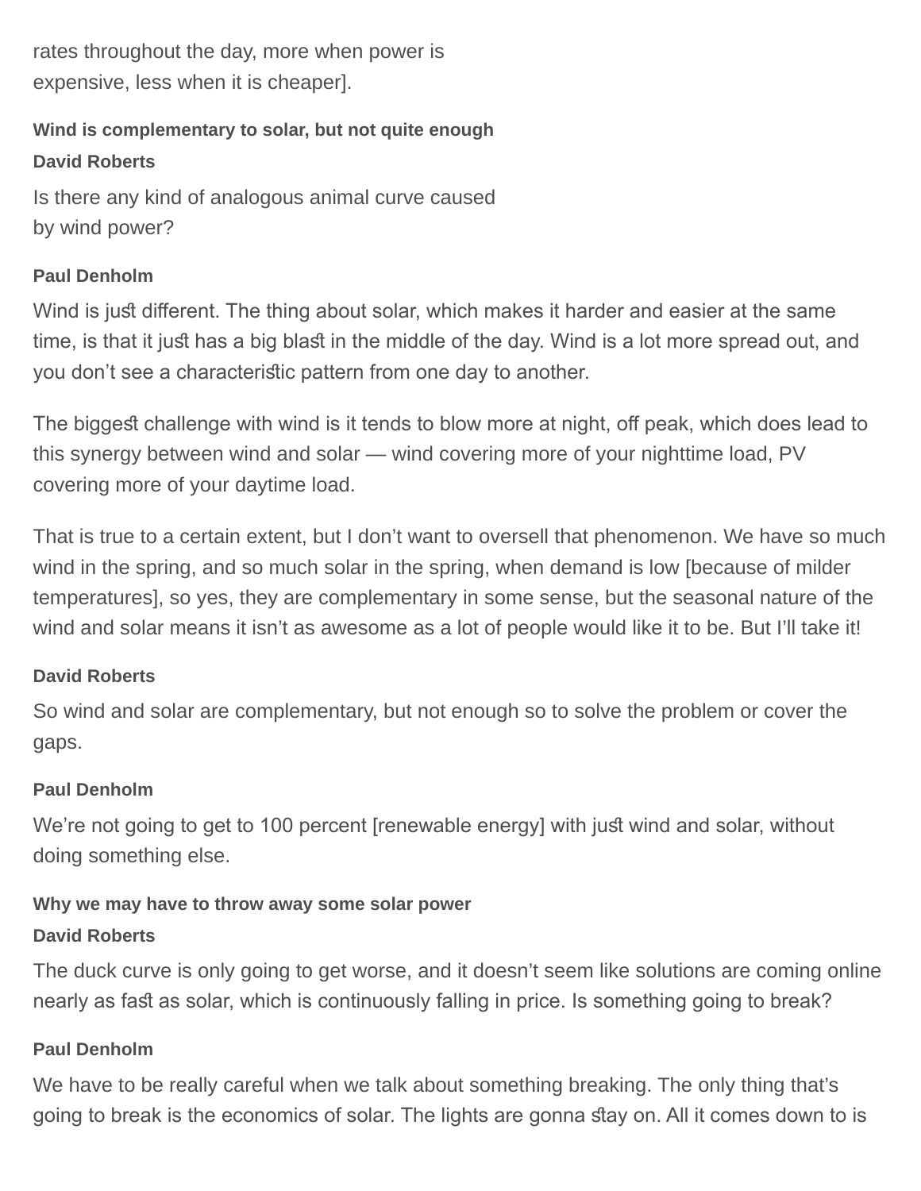rates throughout the day, more when power is expensive, less when it is cheaper].

# **Wind is complementary to solar, but not quite enough**

#### **David Roberts**

Is there any kind of analogous animal curve caused by wind power?

#### **Paul Denholm**

Wind is just different. The thing about solar, which makes it harder and easier at the same time, is that it just has a big blast in the middle of the day. Wind is a lot more spread out, and you don't see a characterisic pattern from one day to another.

The biggest challenge with wind is it tends to blow more at night, off peak, which does lead to this synergy between wind and solar — wind covering more of your nighttime load, PV covering more of your daytime load.

That is true to a certain extent, but I don't want to oversell that phenomenon. We have so much wind in the spring, and so much solar in the spring, when demand is low [because of milder temperatures], so yes, they are complementary in some sense, but the seasonal nature of the wind and solar means it isn't as awesome as a lot of people would like it to be. But I'll take it!

#### **David Roberts**

So wind and solar are complementary, but not enough so to solve the problem or cover the gaps.

#### **Paul Denholm**

We're not going to get to 100 percent [renewable energy] with just wind and solar, without doing something else.

#### **Why we may have to throw away some solar power**

#### **David Roberts**

The duck curve is only going to get worse, and it doesn't seem like solutions are coming online nearly as fast as solar, which is continuously falling in price. Is something going to break?

#### **Paul Denholm**

We have to be really careful when we talk about something breaking. The only thing that's going to break is the economics of solar. The lights are gonna stay on. All it comes down to is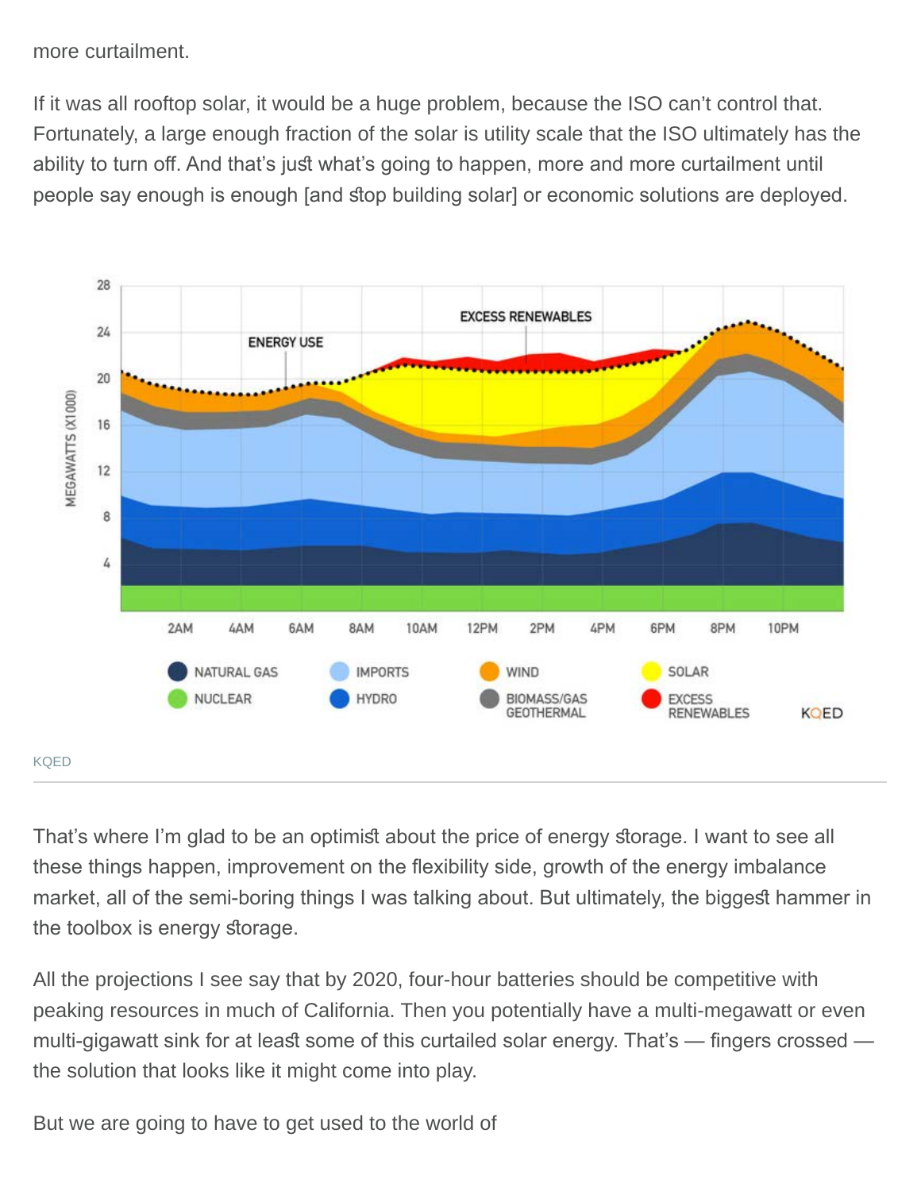more curtailment.

If it was all rooftop solar, it would be a huge problem, because the ISO can't control that. Fortunately, a large enough fraction of the solar is utility scale that the ISO ultimately has the ability to turn off. And that's just what's going to happen, more and more curtailment until people say enough is enough [and stop building solar] or economic solutions are deployed.



That's where I'm glad to be an optimist about the price of energy storage. I want to see all these things happen, improvement on the fexibility side, growth of the energy imbalance market, all of the semi-boring things I was talking about. But ultimately, the biggest hammer in the toolbox is energy storage.

All the projections I see say that by 2020, four-hour batteries should be competitive with peaking resources in much of California. Then you potentially have a multi-megawatt or even multi-gigawatt sink for at least some of this curtailed solar energy. That's — fingers crossed the solution that looks like it might come into play.

But we are going to have to get used to the world of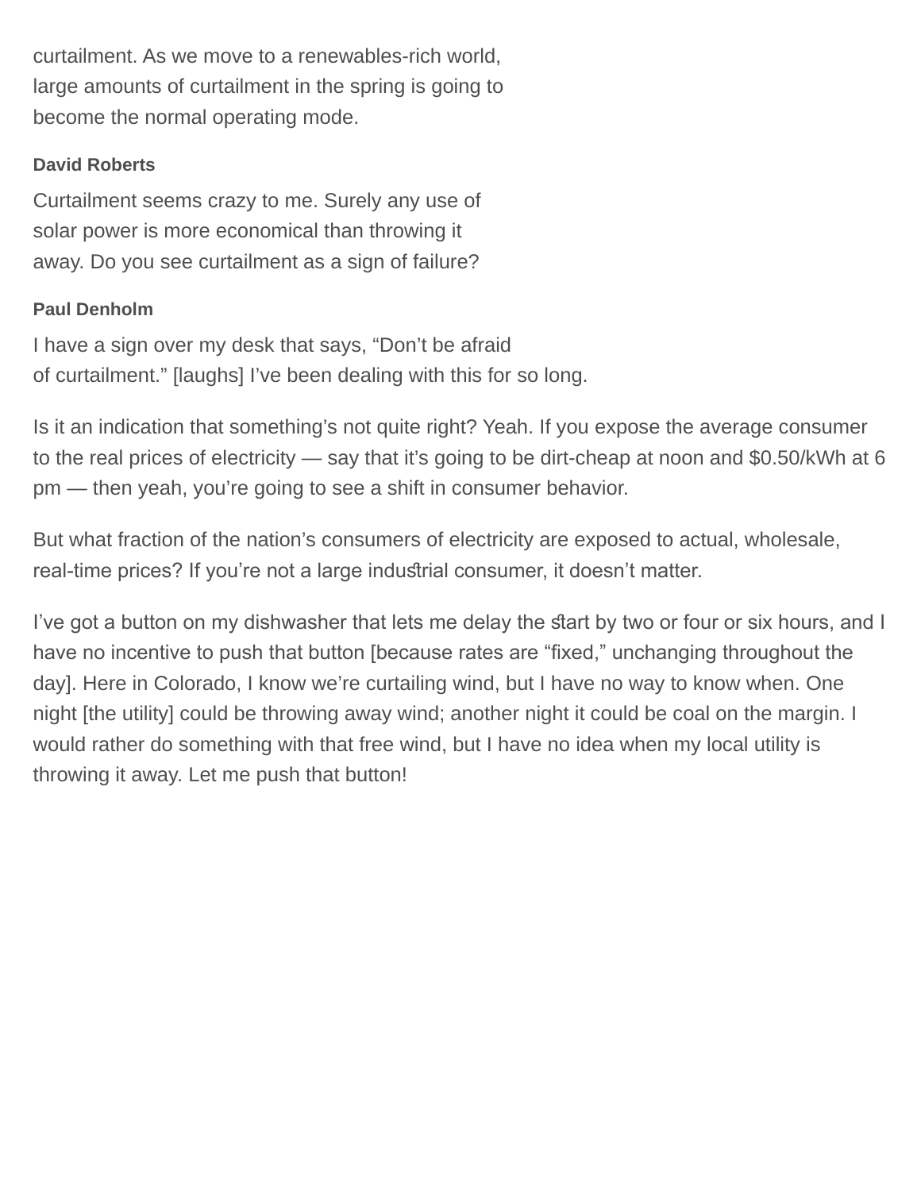curtailment. As we move to a renewables-rich world, large amounts of curtailment in the spring is going to become the normal operating mode.

## **David Roberts**

Curtailment seems crazy to me. Surely any use of solar power is more economical than throwing it away. Do you see curtailment as a sign of failure?

#### **Paul Denholm**

I have a sign over my desk that says, "Don't be afraid of curtailment." [laughs] I've been dealing with this for so long.

Is it an indication that something's not quite right? Yeah. If you expose the average consumer to the real prices of electricity — say that it's going to be dirt-cheap at noon and \$0.50/kWh at 6 pm — then yeah, you're going to see a shift in consumer behavior.

But what fraction of the nation's consumers of electricity are exposed to actual, wholesale, real-time prices? If you're not a large industrial consumer, it doesn't matter.

I've got a button on my dishwasher that lets me delay the start by two or four or six hours, and I have no incentive to push that button [because rates are "fixed," unchanging throughout the day]. Here in Colorado, I know we're curtailing wind, but I have no way to know when. One night [the utility] could be throwing away wind; another night it could be coal on the margin. I would rather do something with that free wind, but I have no idea when my local utility is throwing it away. Let me push that button!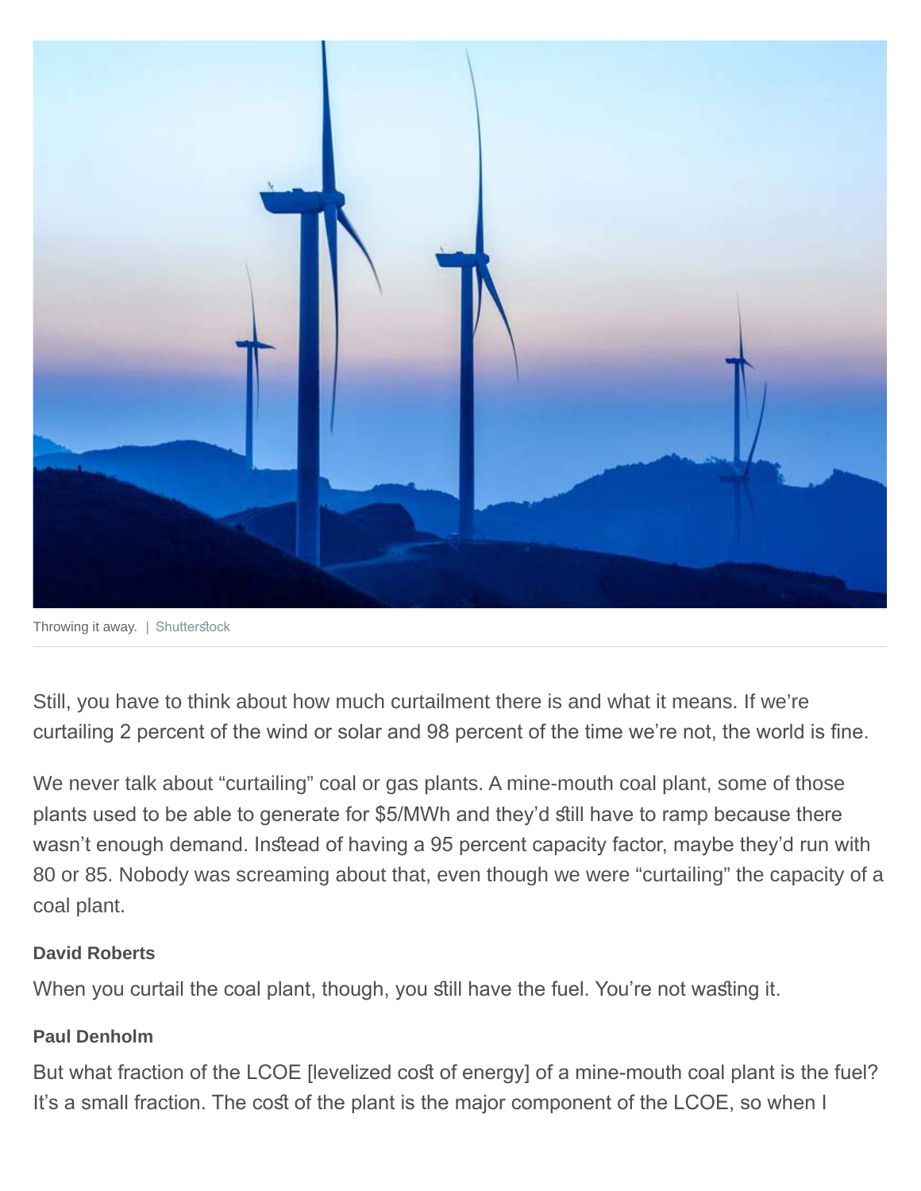

Throwing it away. | Shutterstock

Still, you have to think about how much curtailment there is and what it means. If we're curtailing 2 percent of the wind or solar and 98 percent of the time we're not, the world is fine.

We never talk about "curtailing" coal or gas plants. A mine-mouth coal plant, some of those plants used to be able to generate for \$5/MWh and they'd still have to ramp because there wasn't enough demand. Instead of having a 95 percent capacity factor, maybe they'd run with 80 or 85. Nobody was screaming about that, even though we were "curtailing" the capacity of a coal plant.

#### **David Roberts**

When you curtail the coal plant, though, you still have the fuel. You're not wasting it.

#### **Paul Denholm**

But what fraction of the LCOE [levelized cost of energy] of a mine-mouth coal plant is the fuel? It's a small fraction. The cost of the plant is the major component of the LCOE, so when I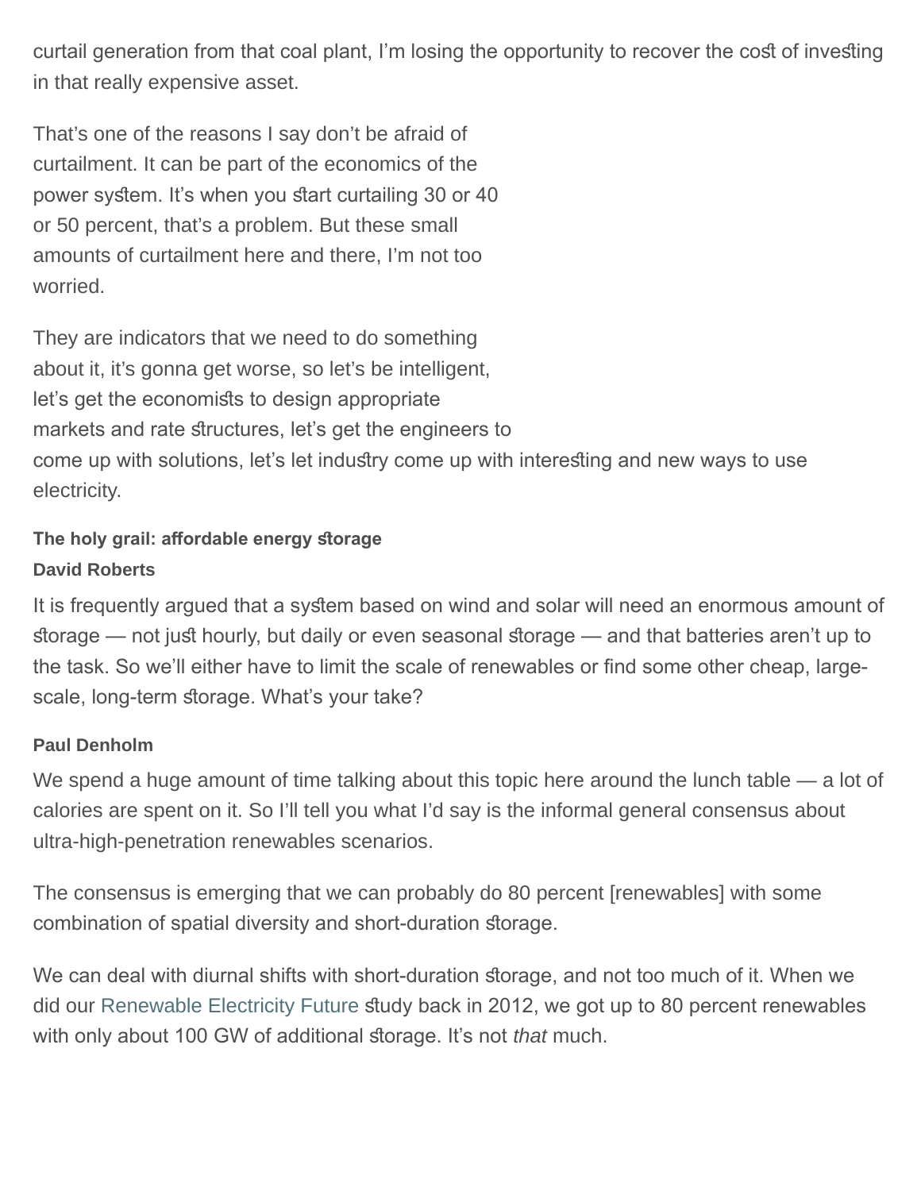curtail generation from that coal plant, I'm losing the opportunity to recover the cost of investing in that really expensive asset.

That's one of the reasons I say don't be afraid of curtailment. It can be part of the economics of the power system. It's when you start curtailing 30 or 40 or 50 percent, that's a problem. But these small amounts of curtailment here and there, I'm not too worried.

They are indicators that we need to do something about it, it's gonna get worse, so let's be intelligent, let's get the economists to design appropriate markets and rate structures, let's get the engineers to come up with solutions, let's let industry come up with interesting and new ways to use electricity.

# The holy grail: affordable energy storage **David Roberts**

It is frequently argued that a system based on wind and solar will need an enormous amount of storage — not just hourly, but daily or even seasonal storage — and that batteries aren't up to the task. So we'll either have to limit the scale of renewables or find some other cheap, largescale, long-term storage. What's your take?

# **Paul Denholm**

We spend a huge amount of time talking about this topic here around the lunch table — a lot of calories are spent on it. So I'll tell you what I'd say is the informal general consensus about ultra-high-penetration renewables scenarios.

The consensus is emerging that we can probably do 80 percent [renewables] with some combination of spatial diversity and short-duration storage.

We can deal with diurnal shifts with short-duration storage, and not too much of it. When we did our [Renewable Electricity Future](https://www.nrel.gov/analysis/re-futures.html) study back in 2012, we got up to 80 percent renewables with only about 100 GW of additional storage. It's not *that* much.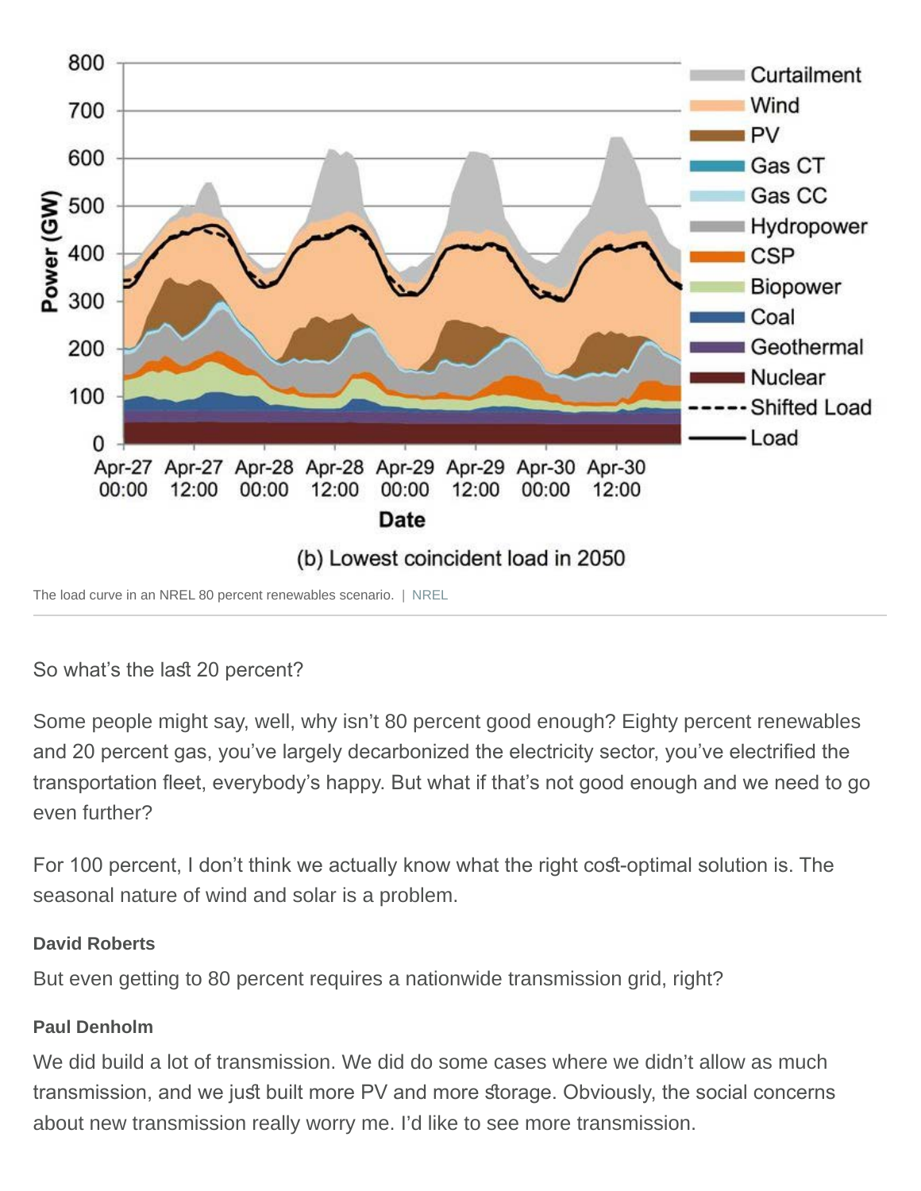

# So what's the last 20 percent?

Some people might say, well, why isn't 80 percent good enough? Eighty percent renewables and 20 percent gas, you've largely decarbonized the electricity sector, you've electrifed the transportation feet, everybody's happy. But what if that's not good enough and we need to go even further?

For 100 percent, I don't think we actually know what the right cost-optimal solution is. The seasonal nature of wind and solar is a problem.

#### **David Roberts**

But even getting to 80 percent requires a nationwide transmission grid, right?

#### **Paul Denholm**

We did build a lot of transmission. We did do some cases where we didn't allow as much transmission, and we just built more PV and more storage. Obviously, the social concerns about new transmission really worry me. I'd like to see more transmission.